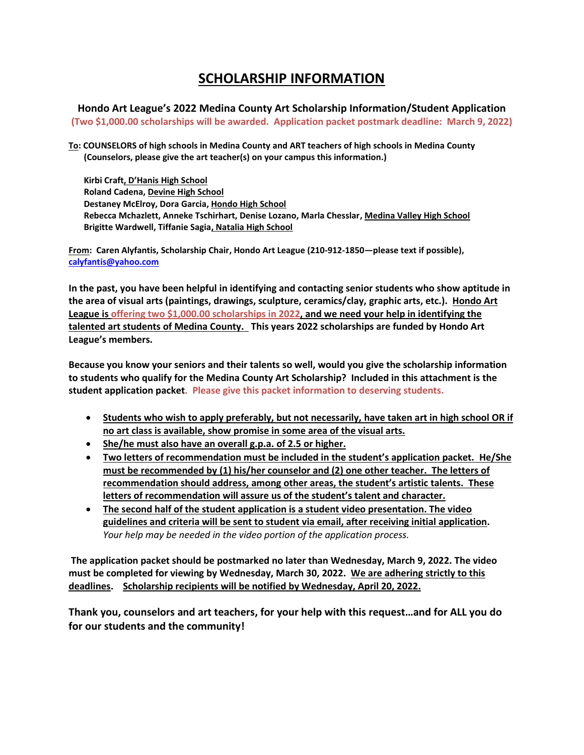## **SCHOLARSHIP INFORMATION**

**Hondo Art League's 2022 Medina County Art Scholarship Information/Student Application (Two \$1,000.00 scholarships will be awarded. Application packet postmark deadline: March 9, 2022)**

**To: COUNSELORS of high schools in Medina County and ART teachers of high schools in Medina County (Counselors, please give the art teacher(s) on your campus this information.)**

 **Kirbi Craft, D'Hanis High School Roland Cadena, Devine High School Destaney McElroy, Dora Garcia, Hondo High School Rebecca Mchazlett, Anneke Tschirhart, Denise Lozano, Marla Chesslar, Medina Valley High School Brigitte Wardwell, Tiffanie Sagia, Natalia High School**

**From: Caren Alyfantis, Scholarship Chair, Hondo Art League (210-912-1850—please text if possible), [calyfantis@yahoo.com](mailto:calyfantis@yahoo.com)**

**In the past, you have been helpful in identifying and contacting senior students who show aptitude in the area of visual arts (paintings, drawings, sculpture, ceramics/clay, graphic arts, etc.). Hondo Art League is offering two \$1,000.00 scholarships in 2022, and we need your help in identifying the talented art students of Medina County. This years 2022 scholarships are funded by Hondo Art League's members.**

**Because you know your seniors and their talents so well, would you give the scholarship information to students who qualify for the Medina County Art Scholarship? Included in this attachment is the student application packet. Please give this packet information to deserving students.** 

- **Students who wish to apply preferably, but not necessarily, have taken art in high school OR if no art class is available, show promise in some area of the visual arts.**
- **She/he must also have an overall g.p.a. of 2.5 or higher.**
- **Two letters of recommendation must be included in the student's application packet. He/She must be recommended by (1) his/her counselor and (2) one other teacher. The letters of recommendation should address, among other areas, the student's artistic talents. These letters of recommendation will assure us of the student's talent and character.**
- **The second half of the student application is a student video presentation. The video guidelines and criteria will be sent to student via email, after receiving initial application***. Your help may be needed in the video portion of the application process.*

**The application packet should be postmarked no later than Wednesday, March 9, 2022. The video must be completed for viewing by Wednesday, March 30, 2022. We are adhering strictly to this deadlines. Scholarship recipients will be notified by Wednesday, April 20, 2022.** 

**Thank you, counselors and art teachers, for your help with this request…and for ALL you do for our students and the community!**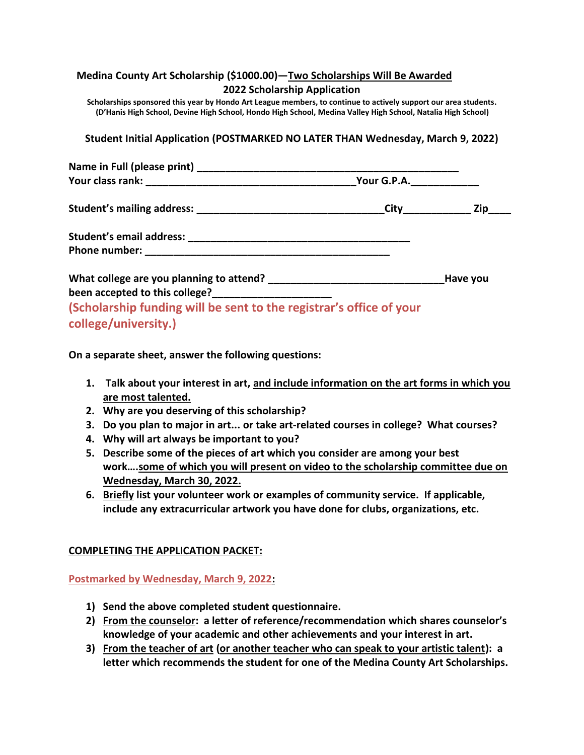| Medina County Art Scholarship (\$1000.00)-Two Scholarships Will Be Awarded<br>2022 Scholarship Application                                                                                                                       |  |  |
|----------------------------------------------------------------------------------------------------------------------------------------------------------------------------------------------------------------------------------|--|--|
| Scholarships sponsored this year by Hondo Art League members, to continue to actively support our area students.<br>(D'Hanis High School, Devine High School, Hondo High School, Medina Valley High School, Natalia High School) |  |  |
| Student Initial Application (POSTMARKED NO LATER THAN Wednesday, March 9, 2022)                                                                                                                                                  |  |  |
|                                                                                                                                                                                                                                  |  |  |
|                                                                                                                                                                                                                                  |  |  |
|                                                                                                                                                                                                                                  |  |  |
|                                                                                                                                                                                                                                  |  |  |
|                                                                                                                                                                                                                                  |  |  |
|                                                                                                                                                                                                                                  |  |  |
| been accepted to this college?_______________________                                                                                                                                                                            |  |  |
| (Scholarship funding will be sent to the registrar's office of your                                                                                                                                                              |  |  |
| college/university.)                                                                                                                                                                                                             |  |  |

**On a separate sheet, answer the following questions:**

- **1. Talk about your interest in art, and include information on the art forms in which you are most talented.**
- **2. Why are you deserving of this scholarship?**
- **3. Do you plan to major in art... or take art-related courses in college? What courses?**
- **4. Why will art always be important to you?**
- **5. Describe some of the pieces of art which you consider are among your best work….some of which you will present on video to the scholarship committee due on Wednesday, March 30, 2022.**
- **6. Briefly list your volunteer work or examples of community service. If applicable, include any extracurricular artwork you have done for clubs, organizations, etc.**

## **COMPLETING THE APPLICATION PACKET:**

**Postmarked by Wednesday, March 9, 2022:**

- **1) Send the above completed student questionnaire.**
- **2) From the counselor: a letter of reference/recommendation which shares counselor's knowledge of your academic and other achievements and your interest in art.**
- **3) From the teacher of art (or another teacher who can speak to your artistic talent): a letter which recommends the student for one of the Medina County Art Scholarships.**